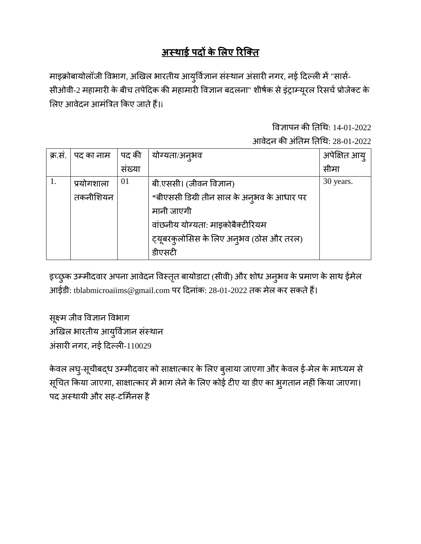## **अस्थाई पदों केलिए रिक्ति**

माइक्रोबायोलॉजी विभाग, अखिल भारतीय आयुर्विज्ञान संस्थान अंसारी नगर, नई दिल्ली में "सार्स-सीओवी-2 महामारी के बीच तपेदिक की महामारी विज्ञान बदलना" शीर्षक से इंट्राम्यूरल रिसर्च प्रोजेक्ट के लिए आवेदन आमंत्रित किए जाते हैं।i

> विज्ञापन की ततथथ: 14-01-2022 आवेदन की अंतिम तिथि: 28-01-2022

| क्र.सं.   पद का नाम |       |                                            | अपेक्षित आयु          |
|---------------------|-------|--------------------------------------------|-----------------------|
|                     | सख्या |                                            | सीमा                  |
| प्रयोगशाला          | 01    | बी.एससी। (जीवन विज्ञान)                    | 30 years.             |
| तकनीशियन            |       | *बीएससी डिग्री तीन साल के अन्अव के आधार पर |                       |
|                     |       | मानी जाएगी                                 |                       |
|                     |       |                                            | पद की   योग्यता/अन्औव |

|  | ' वांछनीय योग्यता: माइकोबैक्टीरियम                |  |
|--|---------------------------------------------------|--|
|  | ट्यूबरक्लोसिस के लिए अनुभव (ठोस और तरल)<br>डीएसटी |  |
|  |                                                   |  |

इच्छुक उम्मीदवार अपना आवेदन विस्तृत बायोडाटा (सीवी) और शोध अनुभव के प्रमाण के साथ ईमेल आईिी: tblabmicroaiims@gmail.com पर दिनांक: 28-01-2022 तक मेल कर सकतेहैं।

सूक्ष्म जीव विज्ञान विभाग अखिल भारतीय आयुर्विज्ञान संस्थान अंसारी नगर, नई दिल्ली-110029

केवल लघु-सूचीबद्ध उम्मीदवार को साक्षात्कार के लिए बुलाया जाएगा और केवल ई-मेल के माध्यम से सूचित किया जाएगा, साक्षात्कार में भाग लेने के लिए कोई टीए या डीए का भुगतान नहीं किया जाएगा। पद अस्थायी और सह-टर्मिनस है